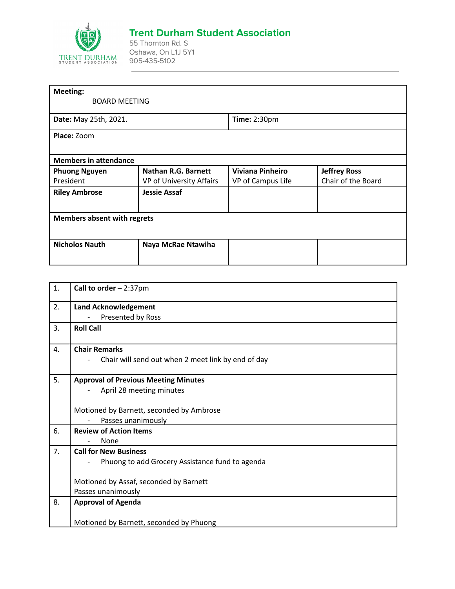

## **Trent Durham Student Association**

55 Thornton Rd. S Oshawa, On L1J 5Y1 905-435-5102

|                                    | <b>Time: 2:30pm</b>     |                     |  |  |
|------------------------------------|-------------------------|---------------------|--|--|
|                                    |                         |                     |  |  |
|                                    |                         |                     |  |  |
| <b>Members in attendance</b>       |                         |                     |  |  |
| Nathan R.G. Barnett                | <b>Viviana Pinheiro</b> | <b>Jeffrey Ross</b> |  |  |
| VP of University Affairs           | VP of Campus Life       | Chair of the Board  |  |  |
| <b>Jessie Assaf</b>                |                         |                     |  |  |
|                                    |                         |                     |  |  |
| <b>Members absent with regrets</b> |                         |                     |  |  |
|                                    |                         |                     |  |  |
| Naya McRae Ntawiha                 |                         |                     |  |  |
|                                    |                         |                     |  |  |
|                                    | <b>BOARD MEETING</b>    |                     |  |  |

| 1. | Call to order $-2:37$ pm                           |
|----|----------------------------------------------------|
| 2. | <b>Land Acknowledgement</b>                        |
|    | Presented by Ross                                  |
| 3. | <b>Roll Call</b>                                   |
| 4. | <b>Chair Remarks</b>                               |
|    | Chair will send out when 2 meet link by end of day |
| 5. | <b>Approval of Previous Meeting Minutes</b>        |
|    | April 28 meeting minutes                           |
|    |                                                    |
|    | Motioned by Barnett, seconded by Ambrose           |
|    | Passes unanimously                                 |
| 6. | <b>Review of Action Items</b>                      |
|    | None                                               |
| 7. | <b>Call for New Business</b>                       |
|    | Phuong to add Grocery Assistance fund to agenda    |
|    |                                                    |
|    | Motioned by Assaf, seconded by Barnett             |
|    | Passes unanimously                                 |
| 8. | <b>Approval of Agenda</b>                          |
|    |                                                    |
|    | Motioned by Barnett, seconded by Phuong            |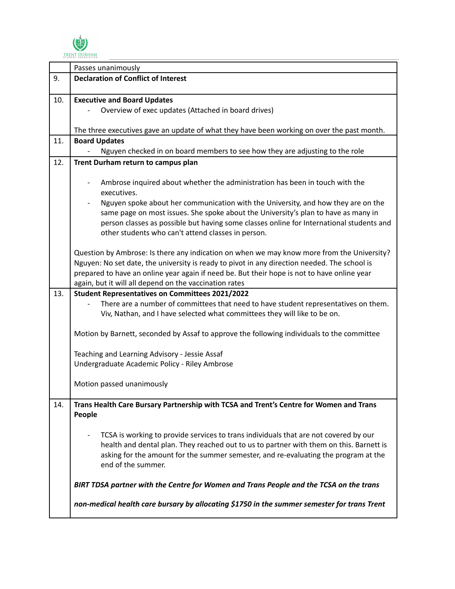

|     | Passes unanimously                                                                                                                                                                                                                                                                                                                                  |
|-----|-----------------------------------------------------------------------------------------------------------------------------------------------------------------------------------------------------------------------------------------------------------------------------------------------------------------------------------------------------|
| 9.  | <b>Declaration of Conflict of Interest</b>                                                                                                                                                                                                                                                                                                          |
|     |                                                                                                                                                                                                                                                                                                                                                     |
| 10. | <b>Executive and Board Updates</b>                                                                                                                                                                                                                                                                                                                  |
|     | Overview of exec updates (Attached in board drives)                                                                                                                                                                                                                                                                                                 |
|     |                                                                                                                                                                                                                                                                                                                                                     |
|     | The three executives gave an update of what they have been working on over the past month.                                                                                                                                                                                                                                                          |
| 11. | <b>Board Updates</b>                                                                                                                                                                                                                                                                                                                                |
|     | Nguyen checked in on board members to see how they are adjusting to the role                                                                                                                                                                                                                                                                        |
| 12. | Trent Durham return to campus plan                                                                                                                                                                                                                                                                                                                  |
|     | Ambrose inquired about whether the administration has been in touch with the<br>executives.                                                                                                                                                                                                                                                         |
|     | Nguyen spoke about her communication with the University, and how they are on the<br>same page on most issues. She spoke about the University's plan to have as many in<br>person classes as possible but having some classes online for International students and<br>other students who can't attend classes in person.                           |
|     | Question by Ambrose: Is there any indication on when we may know more from the University?<br>Nguyen: No set date, the university is ready to pivot in any direction needed. The school is<br>prepared to have an online year again if need be. But their hope is not to have online year<br>again, but it will all depend on the vaccination rates |
| 13. | <b>Student Representatives on Committees 2021/2022</b><br>There are a number of committees that need to have student representatives on them.<br>Viv, Nathan, and I have selected what committees they will like to be on.                                                                                                                          |
|     | Motion by Barnett, seconded by Assaf to approve the following individuals to the committee                                                                                                                                                                                                                                                          |
|     | Teaching and Learning Advisory - Jessie Assaf                                                                                                                                                                                                                                                                                                       |
|     | Undergraduate Academic Policy - Riley Ambrose                                                                                                                                                                                                                                                                                                       |
|     |                                                                                                                                                                                                                                                                                                                                                     |
|     | Motion passed unanimously                                                                                                                                                                                                                                                                                                                           |
| 14. | Trans Health Care Bursary Partnership with TCSA and Trent's Centre for Women and Trans                                                                                                                                                                                                                                                              |
|     | People                                                                                                                                                                                                                                                                                                                                              |
|     | TCSA is working to provide services to trans individuals that are not covered by our<br>health and dental plan. They reached out to us to partner with them on this. Barnett is<br>asking for the amount for the summer semester, and re-evaluating the program at the<br>end of the summer.                                                        |
|     | BIRT TDSA partner with the Centre for Women and Trans People and the TCSA on the trans                                                                                                                                                                                                                                                              |
|     | non-medical health care bursary by allocating \$1750 in the summer semester for trans Trent                                                                                                                                                                                                                                                         |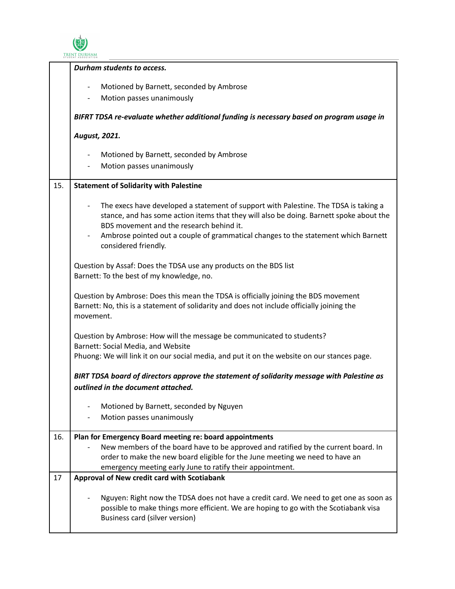

|     | Durham students to access.                                                                  |
|-----|---------------------------------------------------------------------------------------------|
|     | Motioned by Barnett, seconded by Ambrose<br>$\overline{\phantom{a}}$                        |
|     | Motion passes unanimously                                                                   |
|     |                                                                                             |
|     | BIFRT TDSA re-evaluate whether additional funding is necessary based on program usage in    |
|     | August, 2021.                                                                               |
|     | Motioned by Barnett, seconded by Ambrose<br>$\overline{\phantom{a}}$                        |
|     | Motion passes unanimously                                                                   |
|     |                                                                                             |
| 15. | <b>Statement of Solidarity with Palestine</b>                                               |
|     | The execs have developed a statement of support with Palestine. The TDSA is taking a        |
|     | stance, and has some action items that they will also be doing. Barnett spoke about the     |
|     | BDS movement and the research behind it.                                                    |
|     | Ambrose pointed out a couple of grammatical changes to the statement which Barnett          |
|     | considered friendly.                                                                        |
|     | Question by Assaf: Does the TDSA use any products on the BDS list                           |
|     | Barnett: To the best of my knowledge, no.                                                   |
|     |                                                                                             |
|     | Question by Ambrose: Does this mean the TDSA is officially joining the BDS movement         |
|     | Barnett: No, this is a statement of solidarity and does not include officially joining the  |
|     | movement.                                                                                   |
|     |                                                                                             |
|     | Question by Ambrose: How will the message be communicated to students?                      |
|     | Barnett: Social Media, and Website                                                          |
|     | Phuong: We will link it on our social media, and put it on the website on our stances page. |
|     |                                                                                             |
|     | BIRT TDSA board of directors approve the statement of solidarity message with Palestine as  |
|     | outlined in the document attached.                                                          |
|     | Motioned by Barnett, seconded by Nguyen                                                     |
|     | Motion passes unanimously<br>$\overline{\phantom{0}}$                                       |
|     |                                                                                             |
| 16. | Plan for Emergency Board meeting re: board appointments                                     |
|     | New members of the board have to be approved and ratified by the current board. In          |
|     | order to make the new board eligible for the June meeting we need to have an                |
|     | emergency meeting early June to ratify their appointment.                                   |
| 17  | Approval of New credit card with Scotiabank                                                 |
|     |                                                                                             |
|     | Nguyen: Right now the TDSA does not have a credit card. We need to get one as soon as       |
|     | possible to make things more efficient. We are hoping to go with the Scotiabank visa        |
|     | Business card (silver version)                                                              |
|     |                                                                                             |